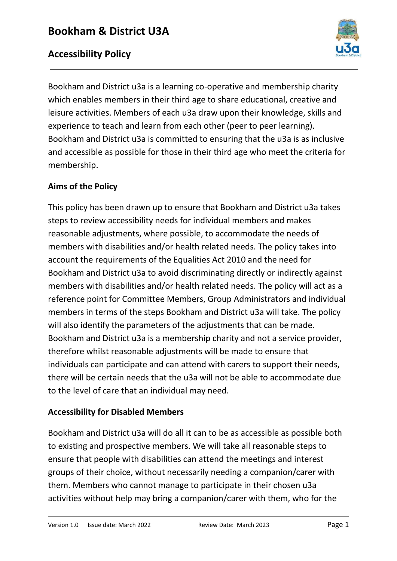

Bookham and District u3a is a learning co-operative and membership charity which enables members in their third age to share educational, creative and leisure activities. Members of each u3a draw upon their knowledge, skills and experience to teach and learn from each other (peer to peer learning). Bookham and District u3a is committed to ensuring that the u3a is as inclusive and accessible as possible for those in their third age who meet the criteria for membership.

#### **Aims of the Policy**

This policy has been drawn up to ensure that Bookham and District u3a takes steps to review accessibility needs for individual members and makes reasonable adjustments, where possible, to accommodate the needs of members with disabilities and/or health related needs. The policy takes into account the requirements of the Equalities Act 2010 and the need for Bookham and District u3a to avoid discriminating directly or indirectly against members with disabilities and/or health related needs. The policy will act as a reference point for Committee Members, Group Administrators and individual members in terms of the steps Bookham and District u3a will take. The policy will also identify the parameters of the adjustments that can be made. Bookham and District u3a is a membership charity and not a service provider, therefore whilst reasonable adjustments will be made to ensure that individuals can participate and can attend with carers to support their needs, there will be certain needs that the u3a will not be able to accommodate due to the level of care that an individual may need.

#### **Accessibility for Disabled Members**

Bookham and District u3a will do all it can to be as accessible as possible both to existing and prospective members. We will take all reasonable steps to ensure that people with disabilities can attend the meetings and interest groups of their choice, without necessarily needing a companion/carer with them. Members who cannot manage to participate in their chosen u3a activities without help may bring a companion/carer with them, who for the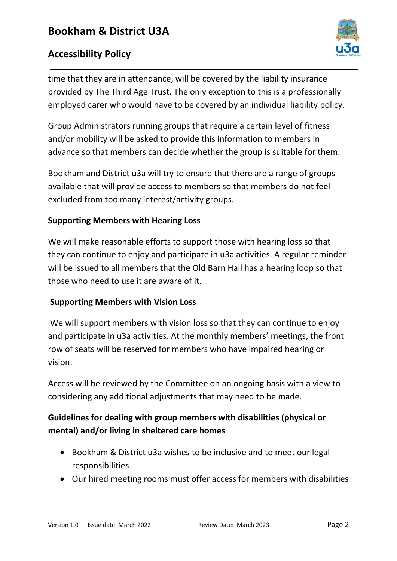

time that they are in attendance, will be covered by the liability insurance provided by The Third Age Trust. The only exception to this is a professionally employed carer who would have to be covered by an individual liability policy.

Group Administrators running groups that require a certain level of fitness and/or mobility will be asked to provide this information to members in advance so that members can decide whether the group is suitable for them.

Bookham and District u3a will try to ensure that there are a range of groups available that will provide access to members so that members do not feel excluded from too many interest/activity groups.

### **Supporting Members with Hearing Loss**

We will make reasonable efforts to support those with hearing loss so that they can continue to enjoy and participate in u3a activities. A regular reminder will be issued to all members that the Old Barn Hall has a hearing loop so that those who need to use it are aware of it.

### **Supporting Members with Vision Loss**

We will support members with vision loss so that they can continue to enjoy and participate in u3a activities. At the monthly members' meetings, the front row of seats will be reserved for members who have impaired hearing or vision.

Access will be reviewed by the Committee on an ongoing basis with a view to considering any additional adjustments that may need to be made.

### **Guidelines for dealing with group members with disabilities (physical or mental) and/or living in sheltered care homes**

- Bookham & District u3a wishes to be inclusive and to meet our legal responsibilities
- Our hired meeting rooms must offer access for members with disabilities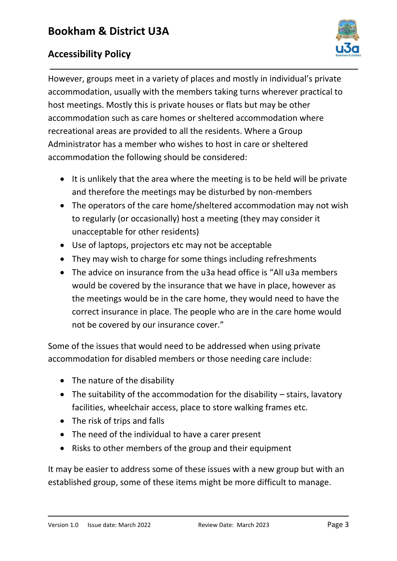

However, groups meet in a variety of places and mostly in individual's private accommodation, usually with the members taking turns wherever practical to host meetings. Mostly this is private houses or flats but may be other accommodation such as care homes or sheltered accommodation where recreational areas are provided to all the residents. Where a Group Administrator has a member who wishes to host in care or sheltered accommodation the following should be considered:

- It is unlikely that the area where the meeting is to be held will be private and therefore the meetings may be disturbed by non-members
- The operators of the care home/sheltered accommodation may not wish to regularly (or occasionally) host a meeting (they may consider it unacceptable for other residents)
- Use of laptops, projectors etc may not be acceptable
- They may wish to charge for some things including refreshments
- The advice on insurance from the u3a head office is "All u3a members would be covered by the insurance that we have in place, however as the meetings would be in the care home, they would need to have the correct insurance in place. The people who are in the care home would not be covered by our insurance cover."

Some of the issues that would need to be addressed when using private accommodation for disabled members or those needing care include:

- The nature of the disability
- The suitability of the accommodation for the disability stairs, lavatory facilities, wheelchair access, place to store walking frames etc.
- The risk of trips and falls
- The need of the individual to have a carer present
- Risks to other members of the group and their equipment

It may be easier to address some of these issues with a new group but with an established group, some of these items might be more difficult to manage.